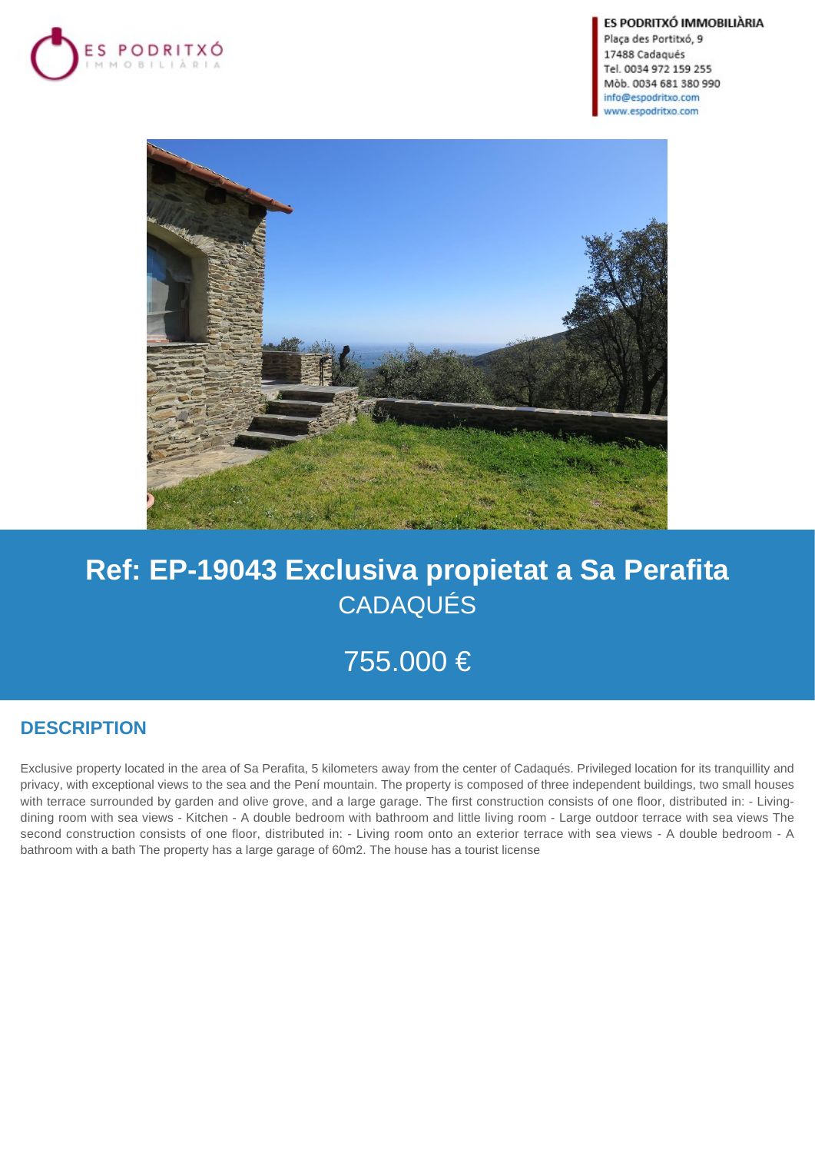

ES PODRITXÓ IMMOBILIÀRIA

Plaça des Portitxó, 9 17488 Cadaqués Tel. 0034 972 159 255 Mòb. 0034 681 380 990 info@espodritxo.com www.espodritxo.com



# **Ref: EP-19043 Exclusiva propietat a Sa Perafita** CADAQUÉS

755.000 €

## **DESCRIPTION**

Exclusive property located in the area of Sa Perafita, 5 kilometers away from the center of Cadaqués. Privileged location for its tranquillity and privacy, with exceptional views to the sea and the Pení mountain. The property is composed of three independent buildings, two small houses with terrace surrounded by garden and olive grove, and a large garage. The first construction consists of one floor, distributed in: - Livingdining room with sea views - Kitchen - A double bedroom with bathroom and little living room - Large outdoor terrace with sea views The second construction consists of one floor, distributed in: - Living room onto an exterior terrace with sea views - A double bedroom - A bathroom with a bath The property has a large garage of 60m2. The house has a tourist license